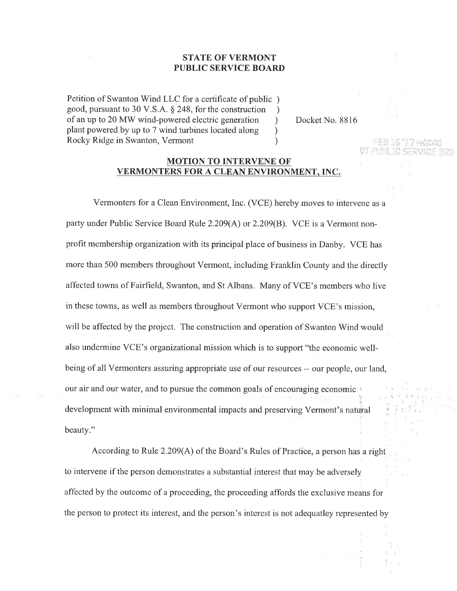## STATE OF VERMONT PUBLIC SERVICE BOARD

Petition of Swanton Wind LLC for a certificate of public ) good, pursuant to 30 V.S.A. § 248, for the construction <br>of an up to 20 MW wind-powered electric generation ) of an up to 20 MW wind-powered electric generation<br>plant powered by up to 7 wind turbines located along plant powered by up to 7 wind turbines located along ) Rocky Ridge in Swanton, Vermont

Docket No. 8816

## MOTION TO INTERVENE OF VERMONTERS FOR A CLEAN ENVIRONMENT, INC.

Vermonters for a Clean Environment, Inc. (VCE) hereby moves to intervene as a party under Public Service Board Rule 2.209(A) or 2.209(B). VCE is a Vermont nonprofit membership organization with its principal place of business in Danby. VCE has more than 500 members throughout Vermont, including Franklin County and the directly affected towns of Fairfield, Swanton, and St Albans. Many of VCE's members who live in these towns, as well as members throughout Vermont who support VCE's mission, will be affected by the project. The construction and operation of Swanton Wind would also undermine VCE's organizational mission which is to support "the economic wellbeing of all Vermonters assuring appropriate use of our resources -- our people, our land, our air and our water, and to pursue the common goals of encouraging economic , development with minimal environmental impacts and preserving Vermont's natural beauty."

According to Rule 2.209(A) of the Board's Rules of Practice, a person has a right to intervene if the person demonstrates a substantial interest that may be adversely affected by the outcome of a proceeding, the proceeding affords the exclusive means for the person to protect its interest, and the person's interest is not adequatley represented by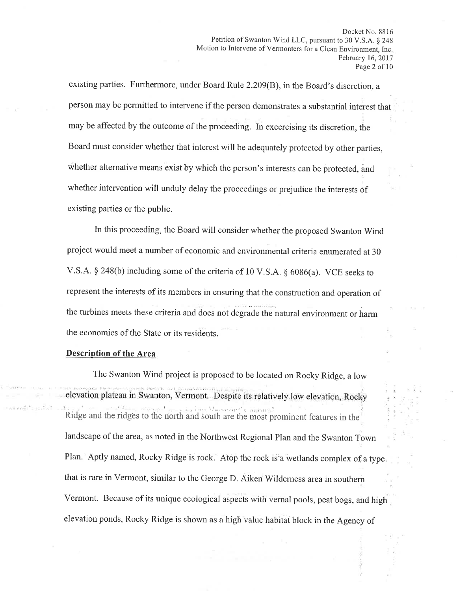existing parties. Furthermore, under Board Rule 2.209(B), in the Board's discretion, <sup>a</sup> person may be permitted to intervene if the person demonstrates a substantial interest that may be affected by the outcome of the proceeding. In excercising its discretion, the Board must consider whether that interest will be adequately protected by other parties, whether alternative means exist by which the person's interests can be protected, and whether intervention will unduly delay the proceedings or prejudice the interests of existing parties or the public.

In this proceeding, the Board will consider whether the proposed Swanton'Wind project would meet a number of economic and environmental criteria enumerated at 30 V.S.A. \$ 248(b) including some of the criteria of 10 V.S.A. g 6086(a). VCE seeks to represent the interests of its members in ensuring that the construction and operation of the turbines meets these criteria and does not degrade the natural environment or harm the economics of the State or its residents.

## Description of the Area

The Swanton Wind project is proposed to be located on Rocky Ridge, a low elevation plateau in Swanton, Vermont. Despite its relatively low elevation, Rocky '' ::, ing Vermint's saint" Ridge and the ridgês to the north and South are the most prominent features in the' landscape of the area, as noted in the Northwest Regional Plan and the Swanton Town Plan. Aptly named, Rocky Ridge is rock. Atop the rock is a wetlands complex of a type. that is rare in Vermont, similar to the George D. Aiken Wildemess area in southern Vermont. Because of its unique ecological aspects with vernal pools, peat bogs, and high elevation ponds, Rocky Ridge is shown as a high value habitat block in the Agency of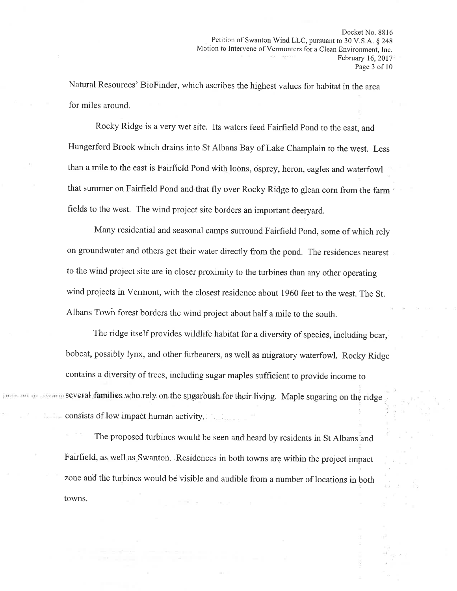Natural Resources' BioFinder, which ascribes the highest values for habitat in the area for miles around.

Rocky Ridge is a very wet site. Its waters feed Fairfield Pond to the east, and Hungerford Brook which drains into St Albans Bay of Lake Champlain to the west. Less than a mile to the east is Fairfîeld Pond with loons, osprey, heron, eagles and waterfowl that summer on Fairfield Pond and that fly over Rocky Ridge to glean corn from the farm ' fields to the west. The wind project site borders an important deeryard.

Many residential and seasonal camps suround Fairfield Pond, some of which rely on groundwater and others get their water directly from the pond. The residences nearest to the wind project site are in closer proximity to the turbines than any other operating wind projects in Vermont, with the closest residence about 1960 feet to the west. The St. Albans Town forest borders the wind project about half a mile to the south.

The ridge itself provides wildlife habitat for a diversity of species, including bear, bobcat, possibly lynx, and other furbearers, as well as migratory waterfowl. Rocky Ridge contains a diversity of trees, including sugar maples suffîcient to provide income to with several families who rely on the sugarbush for their living. Maple sugaring on the ridge I consists of low impact human activity.

The proposed turbines would be seen and heard by residents in St Albans and Fairfield, as well as Swanton. Residences in both towns are within the project impact zone and the turbines would be visible and audible from a number of locations in both towns.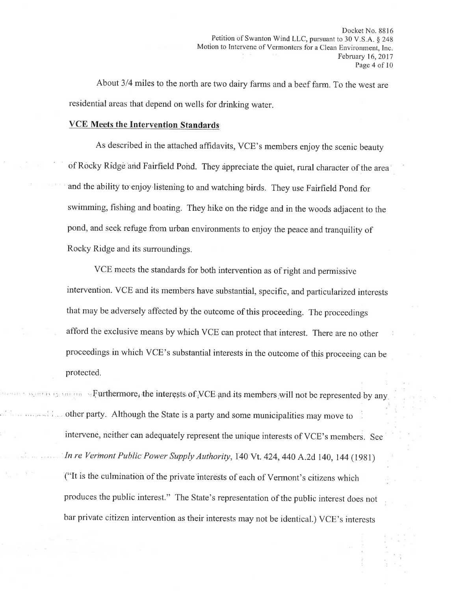About 3/4 miles to the north are two dairy farms and a beef farm. To the west are residential areas that depend on wells for drinking water

### VCE Meets the Intervention Standards

As described in the attached affidavits, VCE's members enjoy the scenic beauty of Rocky Ridge arid Fairfield Pohd. They áppreciate the quiet, rural character of the area and the'ability to'enjoy listening to and watching birds. They use Fairfield Pond for swimming, fishing and boating. They hike on the ridge and in the woods adjacent to the pond, and seek refuge from urban environments to enjoy the peace and tranquility of Rocky Ridge and its surroundings.

vcE meets the standards for both intervention as of right and permissive intervention. VCE and its members have substantial, specific, and parlicularized interests that may be adversely affected by the outcome of this proceeding. The proceedings afford the exclusive means by which VCE can protect that interest. There are no other proceedings in which VCE's substantial interests in the outcome of this proceeing can be protected.

**Furthermore**, the interests of VCE and its members will not be represented by any, other party. Although the State is a party and some municipalities may move to intervene, neither can adequately represent the unique interests of VCE's members. See In re Vermont Public Power Supply Authority, 140 Vt. 424, 440 A.2d 140, 144 (1981) ("It is the culmination of the private'interests of each of Vermont's citizens which produces the public interest." The State's representation of the public interest does not bar private citizen intervention as their interests may not be identical.) VCE's interests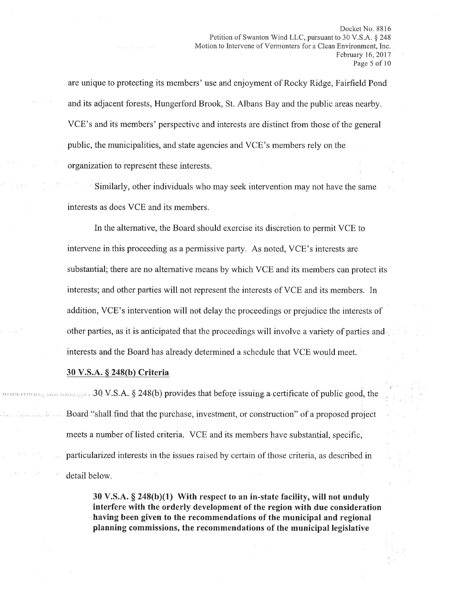are unique to protecting its members' use and enjoyment of Rocky Ridge, Fairfield Pond and its adjacent forests, Hungerford Brook, St. Albans Bay and the public areas nearby. VCE's and its members' perspective and interests are distinct from those of the general public, the municipalities, and state agencies and VCE's members rely on the organization to represent these interests.

Similarly, other individuals who may seek intervention may not have the same interests as does VCE and its members.

In the alternative, the Board should exercise its discretion to permit VCE to intervene in this proceeding as a permissive party. As noted, VCE's interests are substantial; there are no alternative means by which VCE and its members can protect its interests; and other parties will not represent the interests of VCE and its members. In addition, VCE's intervention will not delay the proceedings or prejudice the interests of other parties, as it is anticipated that the proceedings will involve a variety of parties and interests and the Board has already determined a schedule that VCE would meet.

### 30 V.S.A. \$ 248(b) Criteria

 $30 \text{ V.S.A.}$  \$ 248(b) provides that before issuing a certificate of public good, the Board "shall find that the purchase, investment, or construction" of a proposed project meets a number of listed criteria. VCE and its members have substantial, specific, particularized interests in the issues raised by certain of those criteria, as described in detail below.

> 30 V.S.A.  $\S$  248(b)(1) With respect to an in-state facility, will not unduly interfere with the orderly development of the region with due consideration having been given to the recommendations of the municipal and regional planning commissions, the recommendations of the municipal legislative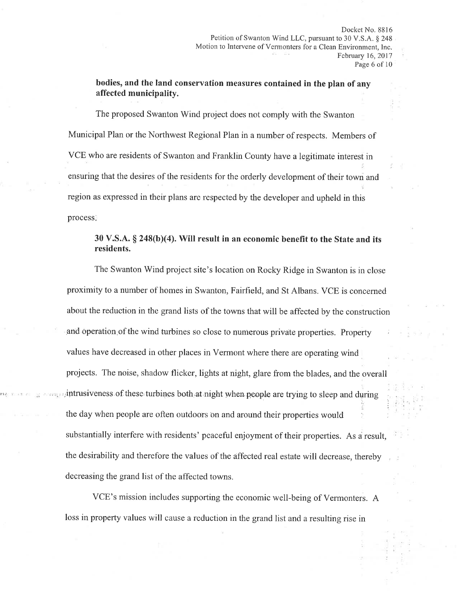bodies, and the land conservation measures contained in the plan of any affected municipality.

The proposed Swanton Wind project does not comply with the Swanton Municipal Plan or the Northwest Regional Plan in a number of respects. Members of VCE who are residents of Swanton and Franklin County have a legitimate interest in ensuring that the desires of the residents for the orderly development of their town and region as expressed in their plans are respected by the developer and upheld in this process.

# $30$  V.S.A.  $\S$  248(b)(4). Will result in an economic benefit to the State and its residents.

The Swanton Wind project site's location on Rocky Ridge in Swanton is in close proximity to a number of homes in Swanton, Fairfield, and St Albans. VCE is concerned about the reduction in the grand lists of the towns that will be affected by the construction and operation of the wind turbines so close to numerous private properties. Property values have decreased in other places in Vermont where there are operating wind projects. The noise, shadow flicker, lights at night, glare from the blades, and the overall intrusiveness of these turbines both at night when people are trying to sleep and during , ':i the day when people are often outdoors on and around their properties would substantially interfere with residents' peaceful enjoyment of their properties. As a result, the desirability and therefore the values of the affected real estate will decrease, thereby decreasing the grand list of the affected towns.

VCE's mission includes supporting the economic well-being of Vermonters. A loss in property values will cause a reduction in the grand list and a resulting rise in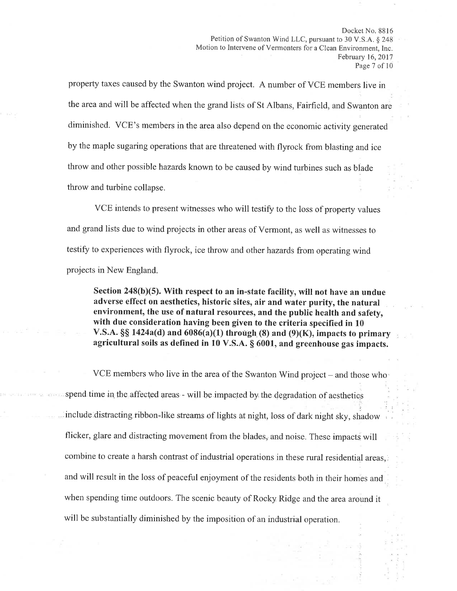property taxes caused by the Swanton wind project. A number of VCE members live in the area and will be affected when the grand lists of St Albans, Fairfield, and Swanton are diminished. VCE's members in the area also depend on the economic activity generated by the maple sugaring operations that are threatened with flyrock from blasting and ice throw and other possible hazards known to be caused by wind turbines such as blade throw and turbine collapse.

VCE intends to present witnesses who will testify to the loss of property values and grand lists due to wind projects in other areas of Vermont, as well as witnesses to testify to experiences with flyrock, ice throw and other hazards from operating wind projects in New England.

Section  $248(b)(5)$ . With respect to an in-state facility, will not have an undue adverse effect on aesthetics, historic sites, air and water purity, the natural environment, the use of natural resources, and the public health and safety, with due consideration having been given to the criteria specified in 10 V.S.A.  $\S$ § 1424a(d) and 6086(a)(1) through (8) and (9)(K), impacts to primary agricultural soils as defined in  $10$  V.S.A.  $\S$  6001, and greenhouse gas impacts.

VCE members who live in the area of the Swanton Wind project – and those who spend time in the affected areas - will be impacted by the degradation of aesthetics ,, include distracting ribbon-like streams of lights at night, loss of dark night sky, shadow flicker, glare and distracting movement from the blades, and noise. These impacts will combine to create a harsh contrast of industrial operations in these rural residential areas, 'and will result in the loss of peaceful enjoyment of the residents both in their homes and when spending time outdoors. The scenic beauty of Rocky Ridge and the area around it will be substantially diminished by the imposition of an industrial operation.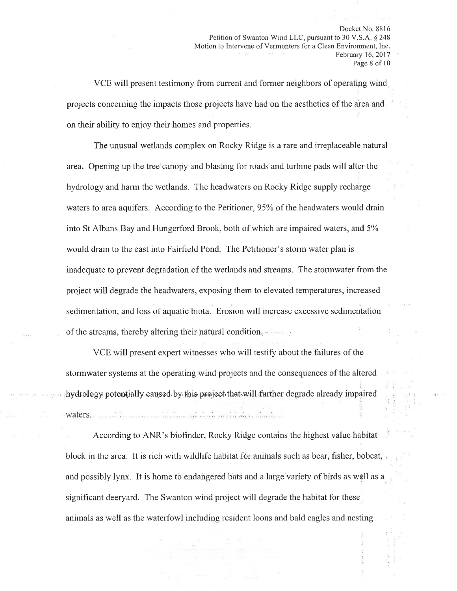Docket No. 8816 Petition of Swanton Wind LLC, pursuant to 30 V.S.A. § 248 Motion to Intervene of Vermonters for a Clean Environment, Inc. February 16,2017 Page 8 of 10

VCE will present testimony from current and former neighbors of operating wind projects concerning the impacts those projects have had on the aesthetics of the area and, on their ability to enjoy their homes and properties.

The unusual wetlands complex on Rocky Ridge is a rare and irreplaceable natural area. Opening up the tree'canopy and blasting for roads'and turbine pads will alter the hydrology and harm the wetlands. The headwaters on Rocky Ridge supply recharge waters to area aquifers. According to the Petitioner, 95% of the headwaters would drain into St Albans Bay and Hungerford Brook, both of which are impaired waters, and 5Yo would drain to the east into Fairfield Pond. The Petitioner's storm water plan is inadequate to prevent degradation of the wetlands and streams. The stormwater from the project will degrade the headwaters, exposing them to elevated temperatures, increased sedimentation, and loss of aquatic biota. Erosion will increase excessive sedimentation of the streams, thereby altering their natural condition.

VCE will present expert witnesses who will testify about the failures of the stormwater systems at the operating wind projects and the consequences of the altered hydrology potentially caused by this project that will further degrade already impaired a di cara propinsi a anchere waters.

According to ANR's biofinder, Rocky R.idge contains the highest value habitat block in the area. It is rich with wildlife habitat for animals such as bear, fisher, bobcat, and possibly lynx. It is home to endangered bats and a large variety of birds as well as <sup>a</sup> significant deeryard. The Swanton wind project will degrade the habitat for these animals as well as the waterfowl including resident loons and bald eagles and nesting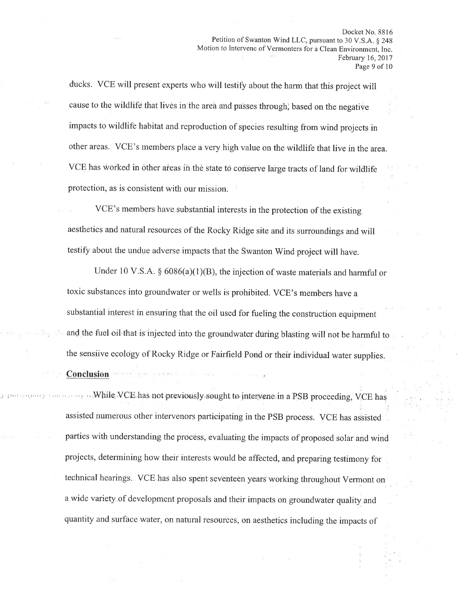ducks. VCE will present experts who will testify about the harm that this project will cause to the wildlife that lives in the area and passes through; based on the negative impacts to wildlife habitat and reproduction of species resulting from wind projects in other areas. VCE's members place a very high value on the wildlife that live in the area. VCE has worked in other areas in the state to conserve large tracts of land for wildlife protection, as is consistent with our mission. :

VCE's members have substantial interests in the protection of the existing aesthetics and natural resources of the Rocky Ridge site and its surroundings and will testify about the undue adverse impacts that the Swanton Wind project will have.

Under 10 V.S.A.  $\S$  6086(a)(1)(B), the injection of waste materials and harmful or toxic substances into groundwater or wells is prohibited. VCE's members have <sup>a</sup> substantial interest in ensuring that the oil used for fueling the construction equipment and the fuel oil that is injected into the groundwater during blasting will not be harmful to the sensiive ecology of Rocky Ridge or Fairfield Pond or their individual water supplies.

### Conclusion

: ii, while VCE has not previously sought to intervene in a PSB proceeding, VCE has t: assisted numerous other intervenors participating in the PSB process. VCE has assisted parties with understanding the process, evaluating the impacts of proposed solar and wind projects, determining how their interêsts would be affected, and preparing testimony for technical hearings. VCE has also spent seventeen years working throughout Vermont on <sup>a</sup>wide variety.of development proposals and their impacts on groundwater quality and quantity and surface water, on natural resources, on aesthetics including the impacts of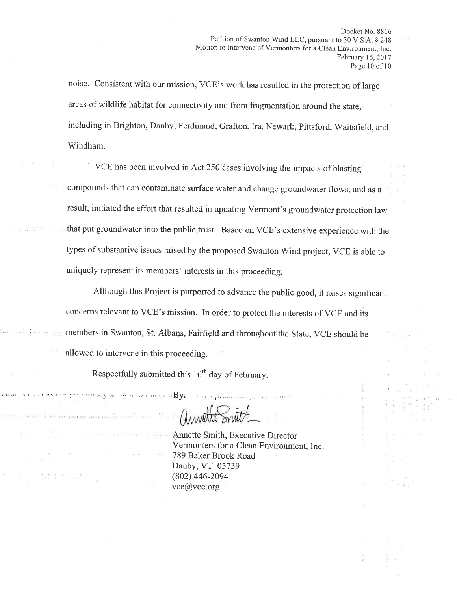noise. Consistent with our mission, VCE's work has resulted in the protection of large areas of wildlife habitat for connectivity and from fragmentation around the state, including in Brighton, Danby, Ferdinand, Grafton, Ira, Newark, Pittsford, Waitsfield, and Windham.

VCE has been involved in Act 250'cases involving the impacts of blasting compounds that can contaminate surface water and change groundwater flows, and as <sup>a</sup> result, initiated the effort that resulted in updating Vermont's groundwater protection law that put groundwater into the public trust. Based on VCE's extensive experience with the types of substantive issues raised by the proposed Swanton Wind project, VCE is able to uniquely represent its members' interests in this proceeding.

Although this Project is purported to advance the public good, it raises significant concerns relevant to VCE's mission. In order to protect the interests of VCE and its members in Swanton, St. Albans, Fairfield and throughout the State, VCE should be allowed to intervene in this proceeding.

Respectfully submitted this  $16<sup>th</sup>$  day of February.

! i :..:i.i: iii:l :;li ..:rr:¡.-,1., .-.i,,,;,,,,, ,,, ,By: ì .;: j ,

 $\left( k-k\right)$ 

et a clima automovem con l'exercitose a

an Billiam

Charmete

Annette Smith, Exeeutive Director Vermonters for a Clean Environment, Inc 789 Baker Brook Road Danby, VT 05739 (802) 446-2094 vce@vce.org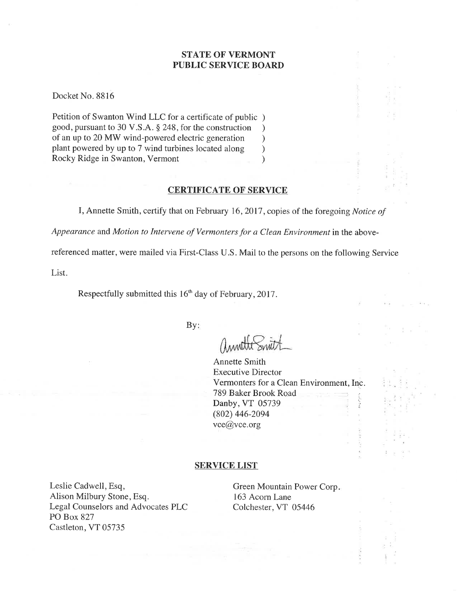# STATE OF VERMONT PUBLIC SERVICE BOARD

Docket No. 8816

Petition of Swanton Wind LLC for a certificate of public ) good, pursuant to 30 V.S.A. \$ 248, for the construction ) of an up to 20 MW wind-powered electric generation <br>plant powered by up to 7 wind turbines located along ) plant powered by up to 7 wind turbines located along )<br>Rocky Ridge in Swanton, Vermont (1) Rocky Ridge in Swanton, Vermont )

## CERTIFICATE OF SERVICE

I, Annette Smith, certify that on February 16, 2017, copies of the foregoing Notice of

Appearance and Motion to Intervene of Vermonters for a Clean Environment in the above-

referenced matter, were mailed via First-Class U.S. Mail to the persons on the following Service

List.

Respectfully submitted this 16<sup>th</sup> day of February, 2017.

By:

Annette Smith Executive Director Vermonters for a Clean Environment, Inc. 789 Baker Brook Road Danby, VT 05739 (802) 446-2094 vce@vce.org

### SERVICE LIST

Leslie Cadwell, Esq, Alison Milbury Stone, Esq. Legal Counselors and Advocates PLC PO Box 827 Castleton, VT 05735

Green Mountain Power Corp 163 Acorn Lane Colchester,VT 05446